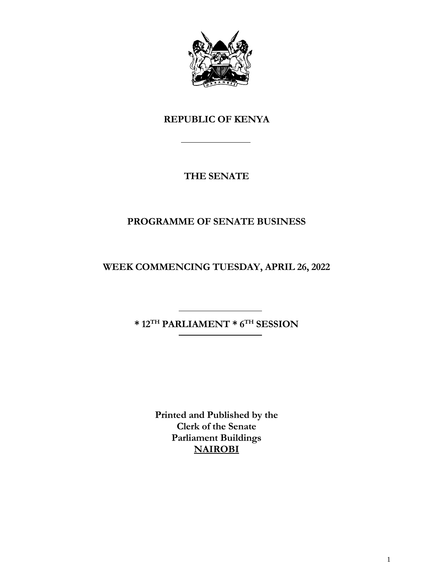

# **REPUBLIC OF KENYA**

# **THE SENATE**

# **PROGRAMME OF SENATE BUSINESS**

**WEEK COMMENCING TUESDAY, APRIL 26, 2022**

**\* 12TH PARLIAMENT \* 6 TH SESSION**

**Printed and Published by the Clerk of the Senate Parliament Buildings NAIROBI**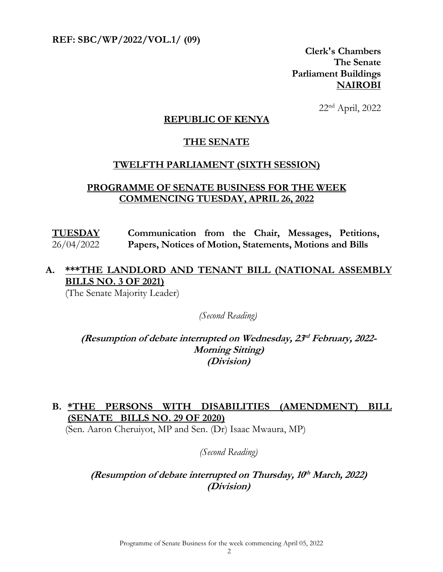**REF: SBC/WP/2022/VOL.1/ (09)** 

**Clerk's Chambers The Senate Parliament Buildings NAIROBI**

22nd April, 2022

#### **REPUBLIC OF KENYA**

#### **THE SENATE**

#### **TWELFTH PARLIAMENT (SIXTH SESSION)**

#### **PROGRAMME OF SENATE BUSINESS FOR THE WEEK COMMENCING TUESDAY, APRIL 26, 2022**

**TUESDAY** 26/04/2022 **Communication from the Chair, Messages, Petitions, Papers, Notices of Motion, Statements, Motions and Bills**

## **A. \*\*\*THE LANDLORD AND TENANT BILL (NATIONAL ASSEMBLY BILLS NO. 3 OF 2021)**

(The Senate Majority Leader)

*(Second Reading)*

**(Resumption of debate interrupted on Wednesday, 23 rd February, 2022- Morning Sitting) (Division)**

## **B. \*THE PERSONS WITH DISABILITIES (AMENDMENT) BILL (SENATE BILLS NO. 29 OF 2020)**

(Sen. Aaron Cheruiyot, MP and Sen. (Dr) Isaac Mwaura, MP)

*(Second Reading)*

## **(Resumption of debate interrupted on Thursday, 10 th March, 2022) (Division)**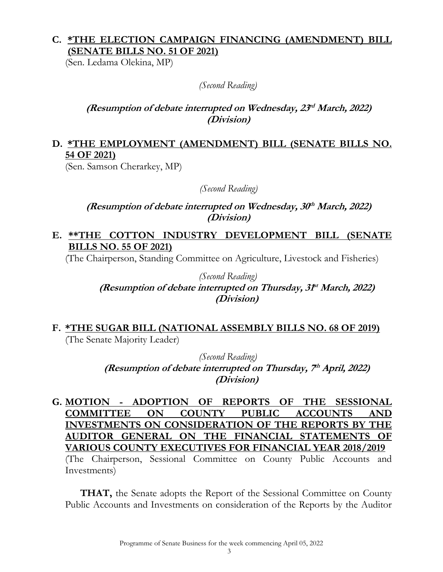## **C. \*THE ELECTION CAMPAIGN FINANCING (AMENDMENT) BILL (SENATE BILLS NO. 51 OF 2021)**

(Sen. Ledama Olekina, MP)

*(Second Reading)*

## **(Resumption of debate interrupted on Wednesday, 23 rd March, 2022) (Division)**

## **D. \*THE EMPLOYMENT (AMENDMENT) BILL (SENATE BILLS NO. 54 OF 2021)**

(Sen. Samson Cherarkey, MP)

*(Second Reading)*

**(Resumption of debate interrupted on Wednesday, 30 th March, 2022) (Division)**

## **E. \*\*THE COTTON INDUSTRY DEVELOPMENT BILL (SENATE BILLS NO. 55 OF 2021)**

(The Chairperson, Standing Committee on Agriculture, Livestock and Fisheries)

*(Second Reading)* **(Resumption of debate interrupted on Thursday, 31 st March, 2022) (Division)**

#### **F. \*THE SUGAR BILL (NATIONAL ASSEMBLY BILLS NO. 68 OF 2019)** (The Senate Majority Leader)

*(Second Reading)* **(Resumption of debate interrupted on Thursday, 7 th April, 2022) (Division)**

**G. MOTION - ADOPTION OF REPORTS OF THE SESSIONAL COMMITTEE ON COUNTY PUBLIC ACCOUNTS AND INVESTMENTS ON CONSIDERATION OF THE REPORTS BY THE AUDITOR GENERAL ON THE FINANCIAL STATEMENTS OF VARIOUS COUNTY EXECUTIVES FOR FINANCIAL YEAR 2018/2019** (The Chairperson, Sessional Committee on County Public Accounts and Investments)

**THAT,** the Senate adopts the Report of the Sessional Committee on County Public Accounts and Investments on consideration of the Reports by the Auditor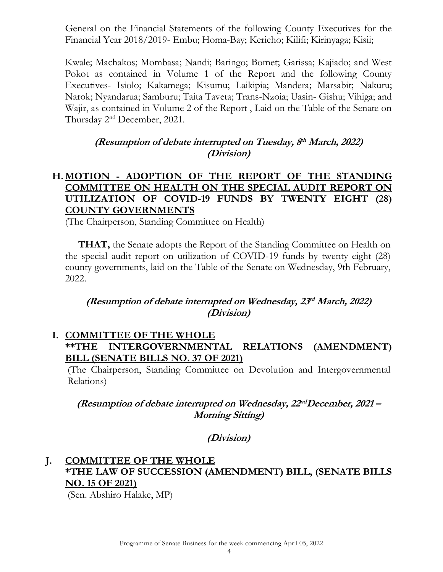General on the Financial Statements of the following County Executives for the Financial Year 2018/2019- Embu; Homa-Bay; Kericho; Kilifi; Kirinyaga; Kisii;

Kwale; Machakos; Mombasa; Nandi; Baringo; Bomet; Garissa; Kajiado; and West Pokot as contained in Volume 1 of the Report and the following County Executives- Isiolo; Kakamega; Kisumu; Laikipia; Mandera; Marsabit; Nakuru; Narok; Nyandarua; Samburu; Taita Taveta; Trans-Nzoia; Uasin- Gishu; Vihiga; and Wajir, as contained in Volume 2 of the Report , Laid on the Table of the Senate on Thursday 2nd December, 2021.

## **(Resumption of debate interrupted on Tuesday, 8 th March, 2022) (Division)**

## **H. MOTION - ADOPTION OF THE REPORT OF THE STANDING COMMITTEE ON HEALTH ON THE SPECIAL AUDIT REPORT ON UTILIZATION OF COVID-19 FUNDS BY TWENTY EIGHT (28) COUNTY GOVERNMENTS**

(The Chairperson, Standing Committee on Health)

**THAT,** the Senate adopts the Report of the Standing Committee on Health on the special audit report on utilization of COVID-19 funds by twenty eight (28) county governments, laid on the Table of the Senate on Wednesday, 9th February, 2022.

## **(Resumption of debate interrupted on Wednesday, 23 rd March, 2022) (Division)**

#### **I. COMMITTEE OF THE WHOLE \*\*THE INTERGOVERNMENTAL RELATIONS (AMENDMENT) BILL (SENATE BILLS NO. 37 OF 2021)**

(The Chairperson, Standing Committee on Devolution and Intergovernmental Relations)

## **(Resumption of debate interrupted on Wednesday, 22 ndDecember, 2021 – Morning Sitting)**

## **(Division)**

# **J. COMMITTEE OF THE WHOLE \*THE LAW OF SUCCESSION (AMENDMENT) BILL, (SENATE BILLS NO. 15 OF 2021)**

(Sen. Abshiro Halake, MP)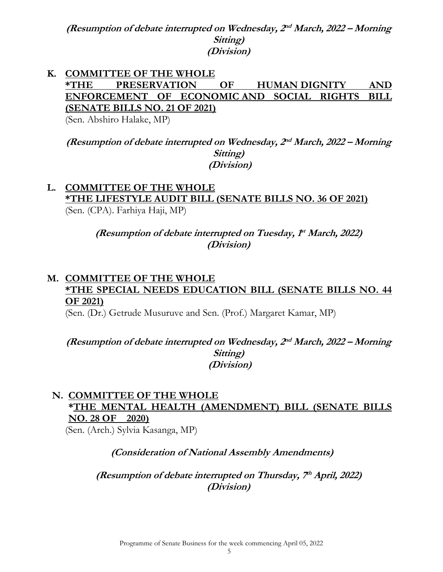**(Resumption of debate interrupted on Wednesday, 2 nd March, 2022 – Morning Sitting) (Division)**

# **K. COMMITTEE OF THE WHOLE \*THE PRESERVATION OF HUMAN DIGNITY AND ENFORCEMENT OF ECONOMIC AND SOCIAL RIGHTS BILL (SENATE BILLS NO. 21 OF 2021)**

(Sen. Abshiro Halake, MP)

**(Resumption of debate interrupted on Wednesday, 2 nd March, 2022 – Morning Sitting) (Division)**

#### **L. COMMITTEE OF THE WHOLE \*THE LIFESTYLE AUDIT BILL (SENATE BILLS NO. 36 OF 2021)**  (Sen. (CPA). Farhiya Haji, MP)

**(Resumption of debate interrupted on Tuesday, 1 st March, 2022) (Division)**

## **M. COMMITTEE OF THE WHOLE \*THE SPECIAL NEEDS EDUCATION BILL (SENATE BILLS NO. 44 OF 2021)**

(Sen. (Dr.) Getrude Musuruve and Sen. (Prof.) Margaret Kamar, MP)

**(Resumption of debate interrupted on Wednesday, 2 nd March, 2022 – Morning Sitting) (Division)**

# **N. COMMITTEE OF THE WHOLE \*THE MENTAL HEALTH (AMENDMENT) BILL (SENATE BILLS NO. 28 OF 2020)**

(Sen. (Arch.) Sylvia Kasanga, MP)

## **(Consideration of National Assembly Amendments)**

**(Resumption of debate interrupted on Thursday, 7 th April, 2022) (Division)**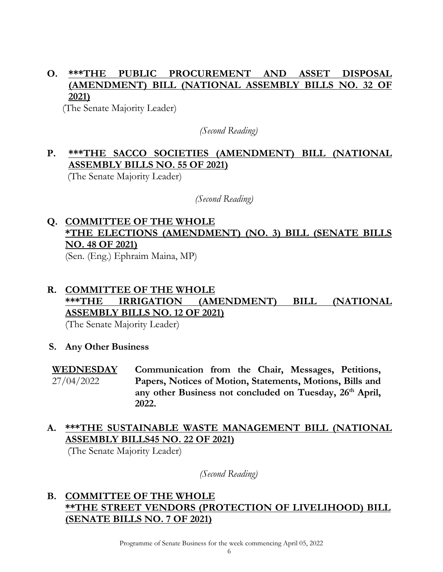# **O. \*\*\*THE PUBLIC PROCUREMENT AND ASSET DISPOSAL (AMENDMENT) BILL (NATIONAL ASSEMBLY BILLS NO. 32 OF 2021)**

(The Senate Majority Leader)

*(Second Reading)*

# **P. \*\*\*THE SACCO SOCIETIES (AMENDMENT) BILL (NATIONAL ASSEMBLY BILLS NO. 55 OF 2021)**

(The Senate Majority Leader)

 *(Second Reading)*

# **Q. COMMITTEE OF THE WHOLE \*THE ELECTIONS (AMENDMENT) (NO. 3) BILL (SENATE BILLS NO. 48 OF 2021)**

(Sen. (Eng.) Ephraim Maina, MP)

# **R. COMMITTEE OF THE WHOLE \*\*\*THE IRRIGATION (AMENDMENT) BILL (NATIONAL ASSEMBLY BILLS NO. 12 OF 2021)**

(The Senate Majority Leader)

**S. Any Other Business**

#### **WEDNESDAY**  27/04/2022 **Communication from the Chair, Messages, Petitions, Papers, Notices of Motion, Statements, Motions, Bills and any other Business not concluded on Tuesday, 26th April, 2022.**

## **A. \*\*\*THE SUSTAINABLE WASTE MANAGEMENT BILL (NATIONAL ASSEMBLY BILLS45 NO. 22 OF 2021)**

(The Senate Majority Leader)

*(Second Reading)*

## **B. COMMITTEE OF THE WHOLE \*\*THE STREET VENDORS (PROTECTION OF LIVELIHOOD) BILL (SENATE BILLS NO. 7 OF 2021)**

Programme of Senate Business for the week commencing April 05, 2022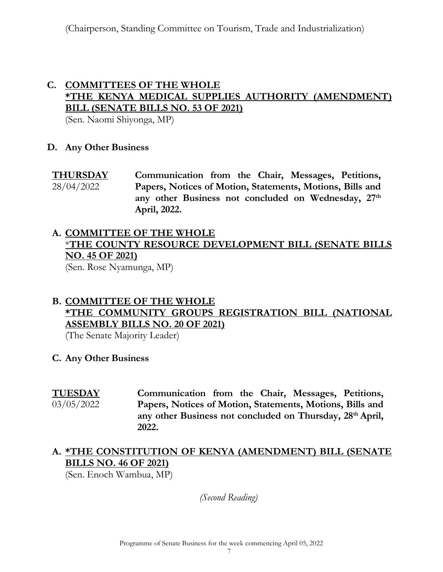## **C. COMMITTEES OF THE WHOLE \*THE KENYA MEDICAL SUPPLIES AUTHORITY (AMENDMENT) BILL (SENATE BILLS NO. 53 OF 2021)**

(Sen. Naomi Shiyonga, MP)

#### **D. Any Other Business**

**THURSDAY**  28/04/2022 **Communication from the Chair, Messages, Petitions, Papers, Notices of Motion, Statements, Motions, Bills and any other Business not concluded on Wednesday, 27th April, 2022.**

# **A. COMMITTEE OF THE WHOLE** \***THE COUNTY RESOURCE DEVELOPMENT BILL (SENATE BILLS NO. 45 OF 2021)**

(Sen. Rose Nyamunga, MP)

## **B. COMMITTEE OF THE WHOLE \*THE COMMUNITY GROUPS REGISTRATION BILL (NATIONAL ASSEMBLY BILLS NO. 20 OF 2021)**

(The Senate Majority Leader)

**C. Any Other Business**

**TUESDAY**  03/05/2022

**Communication from the Chair, Messages, Petitions, Papers, Notices of Motion, Statements, Motions, Bills and any other Business not concluded on Thursday, 28th April, 2022.** 

## **A. \*THE CONSTITUTION OF KENYA (AMENDMENT) BILL (SENATE BILLS NO. 46 OF 2021)**

(Sen. Enoch Wambua, MP)

*(Second Reading)*